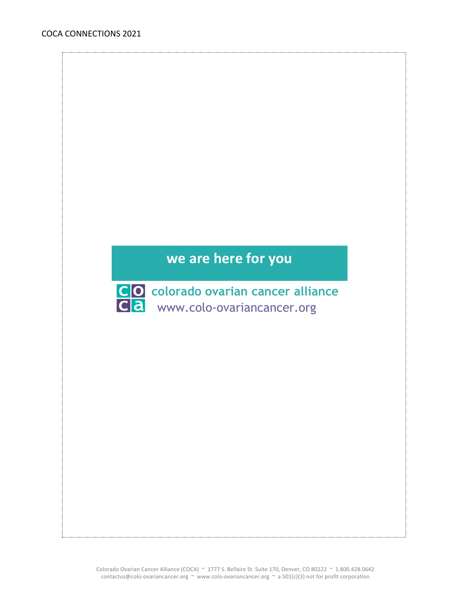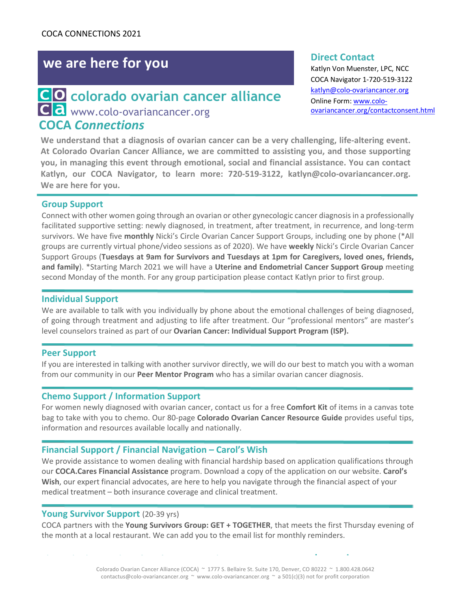# **we are here for you**

## **COCA** *Connections* **colorado ovarian cancer alliance C**a www.colo-ovariancancer.org

#### **Direct Contact**

Katlyn Von Muenster, LPC, NCC COCA Navigator 1-720-519-3122 katlyn@colo-ovariancancer.org Online Form: www.coloovariancancer.org/contactconsent.html

**We understand that a diagnosis of ovarian cancer can be a very challenging, life-altering event. At Colorado Ovarian Cancer Alliance, we are committed to assisting you, and those supporting you, in managing this event through emotional, social and financial assistance. You can contact Katlyn, our COCA Navigator, to learn more: 720-519-3122, katlyn@colo-ovariancancer.org. We are here for you.**

### **Group Support**

Connect with other women going through an ovarian or other gynecologic cancer diagnosis in a professionally facilitated supportive setting: newly diagnosed, in treatment, after treatment, in recurrence, and long-term survivors. We have five **monthly** Nicki's Circle Ovarian Cancer Support Groups, including one by phone (\*All groups are currently virtual phone/video sessions as of 2020). We have **weekly** Nicki's Circle Ovarian Cancer Support Groups (**Tuesdays at 9am for Survivors and Tuesdays at 1pm for Caregivers, loved ones, friends, and family**). \*Starting March 2021 we will have a **Uterine and Endometrial Cancer Support Group** meeting second Monday of the month. For any group participation please contact Katlyn prior to first group.

#### **Individual Support**

We are available to talk with you individually by phone about the emotional challenges of being diagnosed, of going through treatment and adjusting to life after treatment. Our "professional mentors" are master's level counselors trained as part of our **Ovarian Cancer: Individual Support Program (ISP).**

#### **Peer Support**

If you are interested in talking with another survivor directly, we will do our best to match you with a woman from our community in our **Peer Mentor Program** who has a similar ovarian cancer diagnosis.

#### **Chemo Support / Information Support**

For women newly diagnosed with ovarian cancer, contact us for a free **Comfort Kit** of items in a canvas tote bag to take with you to chemo. Our 80-page **Colorado Ovarian Cancer Resource Guide** provides useful tips, information and resources available locally and nationally.

#### **Financial Support / Financial Navigation – Carol's Wish**

We provide assistance to women dealing with financial hardship based on application qualifications through our **COCA.Cares Financial Assistance** program. Download a copy of the application on our website. **Carol's Wish**, our expert financial advocates, are here to help you navigate through the financial aspect of your medical treatment – both insurance coverage and clinical treatment.

#### Young Survivor Support (20-39 yrs)

COCA partners with the **Young Survivors Group: GET + TOGETHER**, that meets the first Thursday evening of the month at a local restaurant. We can add you to the email list for monthly reminders.

**Please check our website for information on these programs: www.colo-ovariancancer.org**